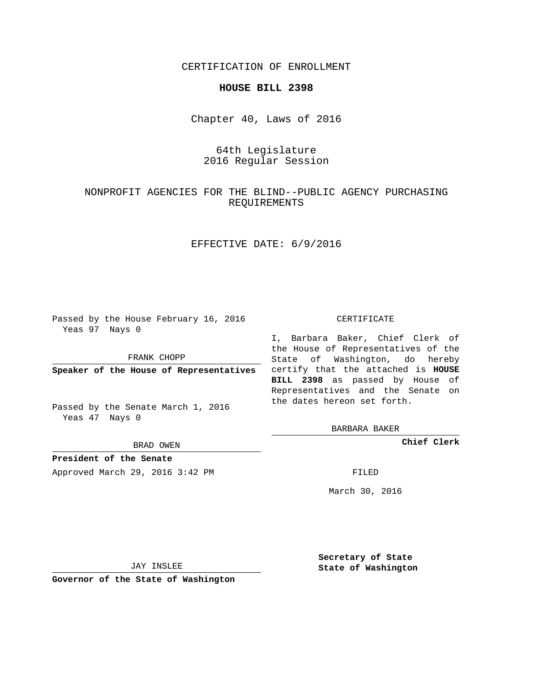CERTIFICATION OF ENROLLMENT

### **HOUSE BILL 2398**

Chapter 40, Laws of 2016

# 64th Legislature 2016 Regular Session

# NONPROFIT AGENCIES FOR THE BLIND--PUBLIC AGENCY PURCHASING REQUIREMENTS

## EFFECTIVE DATE: 6/9/2016

Passed by the House February 16, 2016 Yeas 97 Nays 0

FRANK CHOPP

Passed by the Senate March 1, 2016 Yeas 47 Nays 0

BRAD OWEN

**President of the Senate**

Approved March 29, 2016 3:42 PM FILED

#### CERTIFICATE

**Speaker of the House of Representatives** certify that the attached is **HOUSE** I, Barbara Baker, Chief Clerk of the House of Representatives of the State of Washington, do hereby **BILL 2398** as passed by House of Representatives and the Senate on the dates hereon set forth.

BARBARA BAKER

**Chief Clerk**

March 30, 2016

JAY INSLEE

**Governor of the State of Washington**

**Secretary of State State of Washington**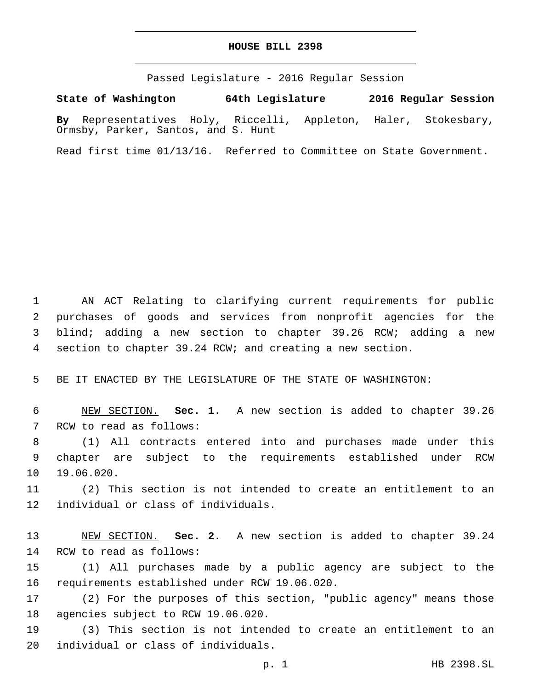## **HOUSE BILL 2398**

Passed Legislature - 2016 Regular Session

**State of Washington 64th Legislature 2016 Regular Session**

**By** Representatives Holy, Riccelli, Appleton, Haler, Stokesbary, Ormsby, Parker, Santos, and S. Hunt

Read first time 01/13/16. Referred to Committee on State Government.

 AN ACT Relating to clarifying current requirements for public purchases of goods and services from nonprofit agencies for the blind; adding a new section to chapter 39.26 RCW; adding a new section to chapter 39.24 RCW; and creating a new section.

5 BE IT ENACTED BY THE LEGISLATURE OF THE STATE OF WASHINGTON:

6 NEW SECTION. **Sec. 1.** A new section is added to chapter 39.26 7 RCW to read as follows:

8 (1) All contracts entered into and purchases made under this 9 chapter are subject to the requirements established under RCW 10 19.06.020.

11 (2) This section is not intended to create an entitlement to an 12 individual or class of individuals.

13 NEW SECTION. **Sec. 2.** A new section is added to chapter 39.24 14 RCW to read as follows:

15 (1) All purchases made by a public agency are subject to the 16 requirements established under RCW 19.06.020.

17 (2) For the purposes of this section, "public agency" means those 18 agencies subject to RCW 19.06.020.

19 (3) This section is not intended to create an entitlement to an 20 individual or class of individuals.